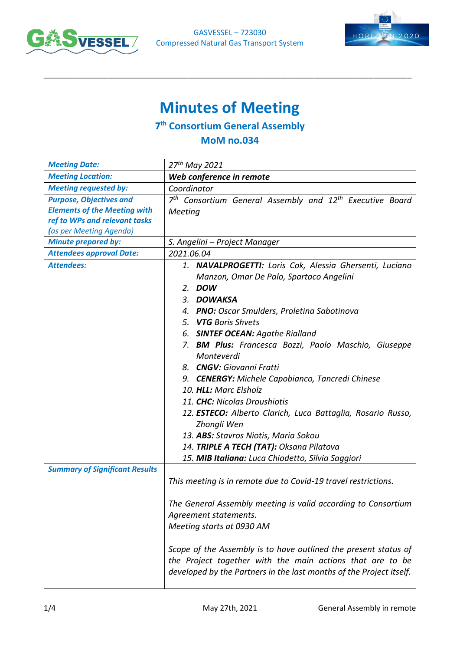



## **Minutes of Meeting**

\_\_\_\_\_\_\_\_\_\_\_\_\_\_\_\_\_\_\_\_\_\_\_\_\_\_\_\_\_\_\_\_\_\_\_\_\_\_\_\_\_\_\_\_\_\_\_\_\_\_\_\_\_\_\_\_\_\_\_\_\_\_\_\_\_\_\_\_\_\_\_\_\_\_\_\_\_\_\_\_\_\_\_\_\_\_\_

## **7 th Consortium General Assembly**

## **MoM no.034**

| <b>Meeting Date:</b>                  | 27 <sup>th</sup> May 2021                                                                                                                                                                                                                                                                                                                                                            |  |
|---------------------------------------|--------------------------------------------------------------------------------------------------------------------------------------------------------------------------------------------------------------------------------------------------------------------------------------------------------------------------------------------------------------------------------------|--|
| <b>Meeting Location:</b>              | Web conference in remote                                                                                                                                                                                                                                                                                                                                                             |  |
| <b>Meeting requested by:</b>          | Coordinator                                                                                                                                                                                                                                                                                                                                                                          |  |
| <b>Purpose, Objectives and</b>        | 7 <sup>th</sup> Consortium General Assembly and 12 <sup>th</sup> Executive Board                                                                                                                                                                                                                                                                                                     |  |
| <b>Elements of the Meeting with</b>   | Meeting                                                                                                                                                                                                                                                                                                                                                                              |  |
| ref to WPs and relevant tasks         |                                                                                                                                                                                                                                                                                                                                                                                      |  |
| (as per Meeting Agenda)               |                                                                                                                                                                                                                                                                                                                                                                                      |  |
| <b>Minute prepared by:</b>            | S. Angelini – Project Manager                                                                                                                                                                                                                                                                                                                                                        |  |
| <b>Attendees approval Date:</b>       | 2021.06.04                                                                                                                                                                                                                                                                                                                                                                           |  |
| <b>Attendees:</b>                     | 1. NAVALPROGETTI: Loris Cok, Alessia Ghersenti, Luciano<br>Manzon, Omar De Palo, Spartaco Angelini<br>2. DOW<br>3. DOWAKSA<br>4. PNO: Oscar Smulders, Proletina Sabotinova<br>5. VTG Boris Shvets                                                                                                                                                                                    |  |
|                                       | 6. SINTEF OCEAN: Agathe Rialland                                                                                                                                                                                                                                                                                                                                                     |  |
|                                       | 7. BM Plus: Francesca Bozzi, Paolo Maschio, Giuseppe<br>Monteverdi<br>8. CNGV: Giovanni Fratti<br>9. <b>CENERGY:</b> Michele Capobianco, Tancredi Chinese<br>10. HLL: Marc Elsholz<br>11. CHC: Nicolas Droushiotis<br>12. ESTECO: Alberto Clarich, Luca Battaglia, Rosario Russo,<br>Zhongli Wen<br>13. ABS: Stavros Niotis, Maria Sokou<br>14. TRIPLE A TECH (TAT): Oksana Pilatova |  |
|                                       | 15. MIB Italiana: Luca Chiodetto, Silvia Saggiori                                                                                                                                                                                                                                                                                                                                    |  |
| <b>Summary of Significant Results</b> | This meeting is in remote due to Covid-19 travel restrictions.                                                                                                                                                                                                                                                                                                                       |  |
|                                       | The General Assembly meeting is valid according to Consortium<br>Agreement statements.<br>Meeting starts at 0930 AM                                                                                                                                                                                                                                                                  |  |
|                                       | Scope of the Assembly is to have outlined the present status of<br>the Project together with the main actions that are to be<br>developed by the Partners in the last months of the Project itself.                                                                                                                                                                                  |  |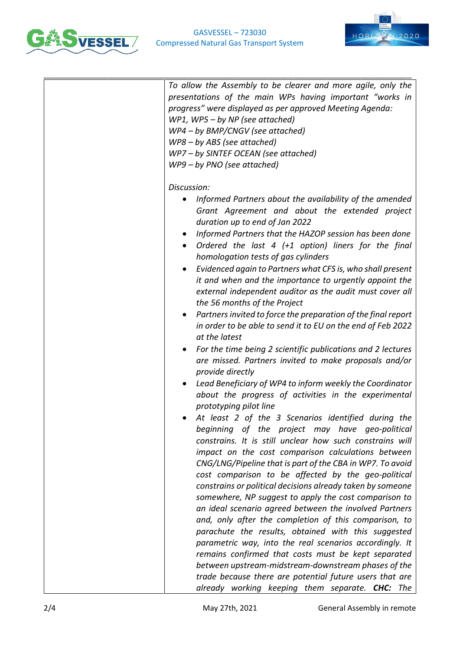



| To allow the Assembly to be clearer and more agile, only the<br>presentations of the main WPs having important "works in<br>progress" were displayed as per approved Meeting Agenda:<br>WP1, WP5 - by NP (see attached)<br>WP4 - by BMP/CNGV (see attached)<br>WP8 - by ABS (see attached)<br>WP7-by SINTEF OCEAN (see attached)<br>$WP9 - by PNO$ (see attached)                                                                                                                                                                                                                                                                                                                                                                                                                                                                                                                                                                                                                                                                                                                                                                                              |
|----------------------------------------------------------------------------------------------------------------------------------------------------------------------------------------------------------------------------------------------------------------------------------------------------------------------------------------------------------------------------------------------------------------------------------------------------------------------------------------------------------------------------------------------------------------------------------------------------------------------------------------------------------------------------------------------------------------------------------------------------------------------------------------------------------------------------------------------------------------------------------------------------------------------------------------------------------------------------------------------------------------------------------------------------------------------------------------------------------------------------------------------------------------|
| Discussion:<br>Informed Partners about the availability of the amended<br>$\bullet$<br>Grant Agreement and about the extended project<br>duration up to end of Jan 2022<br>Informed Partners that the HAZOP session has been done<br>Ordered the last $4$ (+1 option) liners for the final<br>$\bullet$<br>homologation tests of gas cylinders<br>Evidenced again to Partners what CFS is, who shall present<br>$\bullet$<br>it and when and the importance to urgently appoint the<br>external independent auditor as the audit must cover all<br>the 56 months of the Project<br>Partners invited to force the preparation of the final report<br>$\bullet$<br>in order to be able to send it to EU on the end of Feb 2022<br>at the latest<br>For the time being 2 scientific publications and 2 lectures<br>$\bullet$<br>are missed. Partners invited to make proposals and/or<br>provide directly<br>Lead Beneficiary of WP4 to inform weekly the Coordinator<br>about the progress of activities in the experimental<br>prototyping pilot line<br>At least 2 of the 3 Scenarios identified during the<br>beginning of the project may have geo-political |
| constrains. It is still unclear how such constrains will<br>impact on the cost comparison calculations between<br>CNG/LNG/Pipeline that is part of the CBA in WP7. To avoid<br>cost comparison to be affected by the geo-political<br>constrains or political decisions already taken by someone<br>somewhere, NP suggest to apply the cost comparison to<br>an ideal scenario agreed between the involved Partners<br>and, only after the completion of this comparison, to<br>parachute the results, obtained with this suggested<br>parametric way, into the real scenarios accordingly. It<br>remains confirmed that costs must be kept separated<br>between upstream-midstream-downstream phases of the<br>trade because there are potential future users that are<br>already working keeping them separate. CHC: The                                                                                                                                                                                                                                                                                                                                     |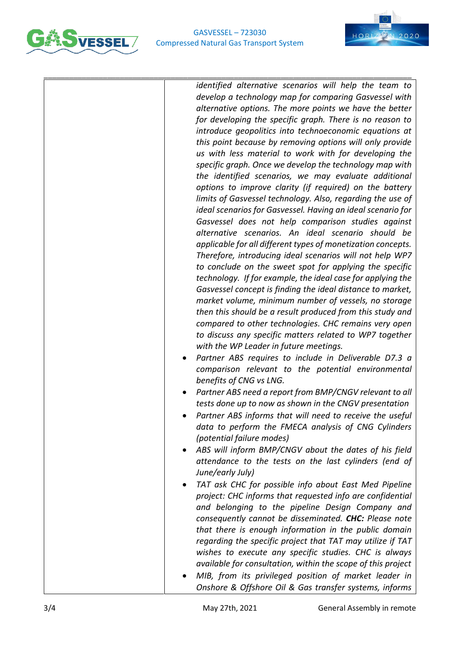



\_\_\_\_\_\_\_\_\_\_\_\_\_\_\_\_\_\_\_\_\_\_\_\_\_\_\_\_\_\_\_\_\_\_\_\_\_\_\_\_\_\_\_\_\_\_\_\_\_\_\_\_\_\_\_\_\_\_\_\_\_\_\_\_\_\_\_\_\_\_\_\_\_\_\_\_\_\_\_\_\_\_\_\_\_\_\_ *identified alternative scenarios will help the team to develop a technology map for comparing Gasvessel with alternative options. The more points we have the better for developing the specific graph. There is no reason to introduce geopolitics into technoeconomic equations at this point because by removing options will only provide us with less material to work with for developing the specific graph. Once we develop the technology map with the identified scenarios, we may evaluate additional options to improve clarity (if required) on the battery limits of Gasvessel technology. Also, regarding the use of ideal scenarios for Gasvessel. Having an ideal scenario for Gasvessel does not help comparison studies against alternative scenarios. An ideal scenario should be applicable for all different types of monetization concepts. Therefore, introducing ideal scenarios will not help WP7 to conclude on the sweet spot for applying the specific technology. If for example, the ideal case for applying the Gasvessel concept is finding the ideal distance to market, market volume, minimum number of vessels, no storage then this should be a result produced from this study and compared to other technologies. CHC remains very open to discuss any specific matters related to WP7 together with the WP Leader in future meetings.*  • *Partner ABS requires to include in Deliverable D7.3 a comparison relevant to the potential environmental benefits of CNG vs LNG.* • *Partner ABS need a report from BMP/CNGV relevant to all tests done up to now as shown in the CNGV presentation* • *Partner ABS informs that will need to receive the useful data to perform the FMECA analysis of CNG Cylinders (potential failure modes)* • *ABS will inform BMP/CNGV about the dates of his field attendance to the tests on the last cylinders (end of June/early July)* • *TAT ask CHC for possible info about East Med Pipeline*

- *project: CHC informs that requested info are confidential and belonging to the pipeline Design Company and consequently cannot be disseminated. CHC: Please note that there is enough information in the public domain regarding the specific project that TAT may utilize if TAT wishes to execute any specific studies. CHC is always available for consultation, within the scope of this project*
- *MIB, from its privileged position of market leader in Onshore & Offshore Oil & Gas transfer systems, informs*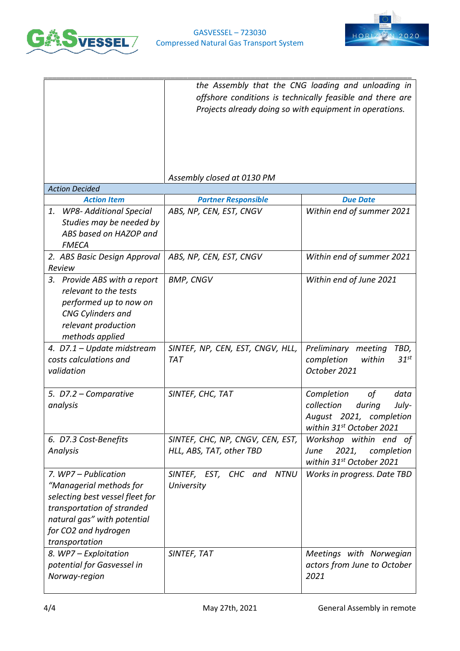



|                                                                                                                                                                                           | the Assembly that the CNG loading and unloading in<br>offshore conditions is technically feasible and there are<br>Projects already doing so with equipment in operations. |                                                                                                                  |  |
|-------------------------------------------------------------------------------------------------------------------------------------------------------------------------------------------|----------------------------------------------------------------------------------------------------------------------------------------------------------------------------|------------------------------------------------------------------------------------------------------------------|--|
|                                                                                                                                                                                           | Assembly closed at 0130 PM                                                                                                                                                 |                                                                                                                  |  |
| <b>Action Decided</b><br><b>Action Item</b>                                                                                                                                               | <b>Partner Responsible</b>                                                                                                                                                 | <b>Due Date</b>                                                                                                  |  |
| <b>WP8- Additional Special</b><br>1.<br>Studies may be needed by<br>ABS based on HAZOP and<br><b>FMECA</b>                                                                                | ABS, NP, CEN, EST, CNGV                                                                                                                                                    | Within end of summer 2021                                                                                        |  |
| 2. ABS Basic Design Approval<br>Review                                                                                                                                                    | ABS, NP, CEN, EST, CNGV                                                                                                                                                    | Within end of summer 2021                                                                                        |  |
| Provide ABS with a report<br>3.<br>relevant to the tests<br>performed up to now on<br>CNG Cylinders and<br>relevant production<br>methods applied                                         | <b>BMP, CNGV</b>                                                                                                                                                           | Within end of June 2021                                                                                          |  |
| 4. D7.1 - Update midstream<br>costs calculations and<br>validation                                                                                                                        | SINTEF, NP, CEN, EST, CNGV, HLL,<br><b>TAT</b>                                                                                                                             | Preliminary meeting<br>TBD,<br>$31^{st}$<br>completion<br>within<br>October 2021                                 |  |
| 5. D7.2 - Comparative<br>analysis                                                                                                                                                         | SINTEF, CHC, TAT                                                                                                                                                           | Completion<br>οf<br>data<br>collection<br>during<br>July-<br>August 2021, completion<br>within 31st October 2021 |  |
| 6. D7.3 Cost-Benefits<br>Analysis                                                                                                                                                         | SINTEF, CHC, NP, CNGV, CEN, EST,<br>HLL, ABS, TAT, other TBD                                                                                                               | Workshop within end of<br>2021,<br>completion<br>June<br>within 31st October 2021                                |  |
| 7. WP7 - Publication<br>"Managerial methods for<br>selecting best vessel fleet for<br>transportation of stranded<br>natural gas" with potential<br>for CO2 and hydrogen<br>transportation | SINTEF, EST, CHC and NTNU<br>University                                                                                                                                    | Works in progress. Date TBD                                                                                      |  |
| 8. WP7 - Exploitation<br>potential for Gasvessel in<br>Norway-region                                                                                                                      | SINTEF, TAT                                                                                                                                                                | Meetings with Norwegian<br>actors from June to October<br>2021                                                   |  |